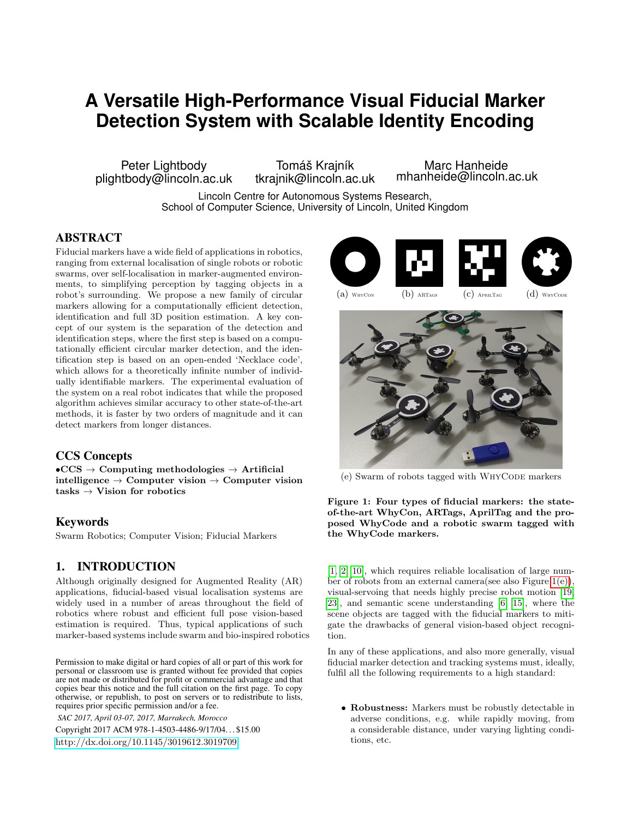# **A Versatile High-Performance Visual Fiducial Marker Detection System with Scalable Identity Encoding**

Peter Lightbody plightbody@lincoln.ac.uk

Tomáš Krajník tkrajnik@lincoln.ac.uk

Marc Hanheide mhanheide@lincoln.ac.uk

Lincoln Centre for Autonomous Systems Research, School of Computer Science, University of Lincoln, United Kingdom

# ABSTRACT

Fiducial markers have a wide field of applications in robotics, ranging from external localisation of single robots or robotic swarms, over self-localisation in marker-augmented environments, to simplifying perception by tagging objects in a robot's surrounding. We propose a new family of circular markers allowing for a computationally efficient detection, identification and full 3D position estimation. A key concept of our system is the separation of the detection and identification steps, where the first step is based on a computationally efficient circular marker detection, and the identification step is based on an open-ended 'Necklace code', which allows for a theoretically infinite number of individually identifiable markers. The experimental evaluation of the system on a real robot indicates that while the proposed algorithm achieves similar accuracy to other state-of-the-art methods, it is faster by two orders of magnitude and it can detect markers from longer distances.

## CCS Concepts

 $\rm \bullet CCS \to Computing$  methodologies  $\to$  Artificial intelligence  $\rightarrow$  Computer vision  $\rightarrow$  Computer vision tasks  $\rightarrow$  Vision for robotics

#### Keywords

Swarm Robotics; Computer Vision; Fiducial Markers

## 1. INTRODUCTION

Although originally designed for Augmented Reality (AR) applications, fiducial-based visual localisation systems are widely used in a number of areas throughout the field of robotics where robust and efficient full pose vision-based estimation is required. Thus, typical applications of such marker-based systems include swarm and bio-inspired robotics

Permission to make digital or hard copies of all or part of this work for personal or classroom use is granted without fee provided that copies are not made or distributed for profit or commercial advantage and that copies bear this notice and the full citation on the first page. To copy otherwise, or republish, to post on servers or to redistribute to lists, requires prior specific permission and/or a fee.

*SAC 2017, April 03-07, 2017, Marrakech, Morocco*

Copyright 2017 ACM 978-1-4503-4486-9/17/04. . . \$15.00 <http://dx.doi.org/10.1145/3019612.3019709>





<span id="page-0-1"></span>

<span id="page-0-0"></span>

(e) Swarm of robots tagged with WHYCODE markers

Figure 1: Four types of fiducial markers: the stateof-the-art WhyCon, ARTags, AprilTag and the proposed WhyCode and a robotic swarm tagged with the WhyCode markers.

[\[1,](#page-6-0) [2,](#page-6-1) [10\]](#page-6-2), which requires reliable localisation of large number of robots from an external camera(see also Figure [1\(e\)\)](#page-0-0), visual-servoing that needs highly precise robot motion [\[19,](#page-6-3) [23\]](#page-6-4), and semantic scene understanding [\[6,](#page-6-5) [15\]](#page-6-6), where the scene objects are tagged with the fiducial markers to mitigate the drawbacks of general vision-based object recognition.

In any of these applications, and also more generally, visual fiducial marker detection and tracking systems must, ideally, fulfil all the following requirements to a high standard:

• Robustness: Markers must be robustly detectable in adverse conditions, e.g. while rapidly moving, from a considerable distance, under varying lighting conditions, etc.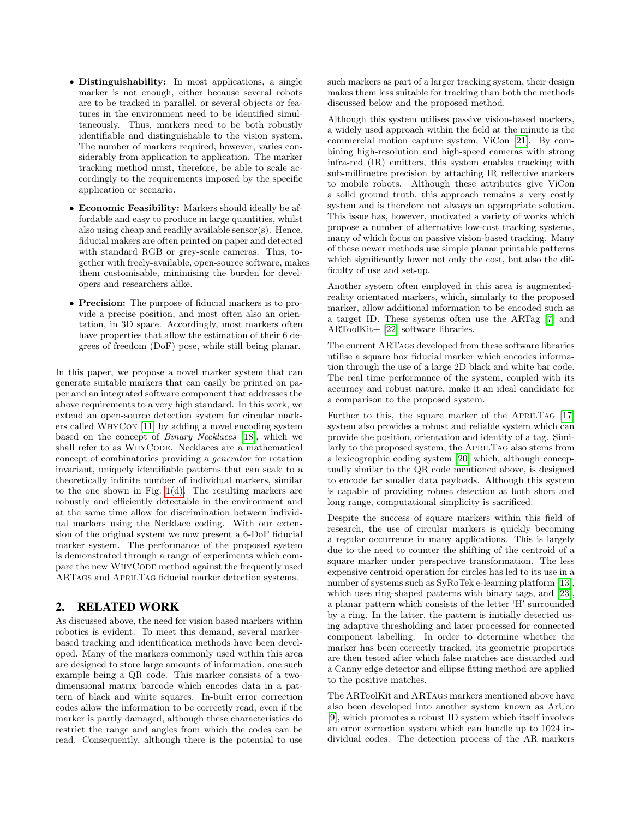- Distinguishability: In most applications, a single marker is not enough, either because several robots are to be tracked in parallel, or several objects or features in the environment need to be identified simultaneously. Thus, markers need to be both robustly identifiable and distinguishable to the vision system. The number of markers required, however, varies considerably from application to application. The marker tracking method must, therefore, be able to scale accordingly to the requirements imposed by the specific application or scenario.
- Economic Feasibility: Markers should ideally be affordable and easy to produce in large quantities, whilst also using cheap and readily available sensor(s). Hence, fiducial makers are often printed on paper and detected with standard RGB or grey-scale cameras. This, together with freely-available, open-source software, makes them customisable, minimising the burden for developers and researchers alike.
- Precision: The purpose of fiducial markers is to provide a precise position, and most often also an orientation, in 3D space. Accordingly, most markers often have properties that allow the estimation of their 6 degrees of freedom (DoF) pose, while still being planar.

In this paper, we propose a novel marker system that can generate suitable markers that can easily be printed on paper and an integrated software component that addresses the above requirements to a very high standard. In this work, we extend an open-source detection system for circular markers called WhyCon [\[11\]](#page-6-7) by adding a novel encoding system based on the concept of Binary Necklaces [\[18\]](#page-6-8), which we shall refer to as WHYCODE. Necklaces are a mathematical concept of combinatorics providing a generator for rotation invariant, uniquely identifiable patterns that can scale to a theoretically infinite number of individual markers, similar to the one shown in Fig. [1\(d\).](#page-0-1) The resulting markers are robustly and efficiently detectable in the environment and at the same time allow for discrimination between individual markers using the Necklace coding. With our extension of the original system we now present a 6-DoF fiducial marker system. The performance of the proposed system is demonstrated through a range of experiments which compare the new WHYCODE method against the frequently used ARTags and AprilTag fiducial marker detection systems.

## 2. RELATED WORK

As discussed above, the need for vision based markers within robotics is evident. To meet this demand, several markerbased tracking and identification methods have been developed. Many of the markers commonly used within this area are designed to store large amounts of information, one such example being a QR code. This marker consists of a twodimensional matrix barcode which encodes data in a pattern of black and white squares. In-built error correction codes allow the information to be correctly read, even if the marker is partly damaged, although these characteristics do restrict the range and angles from which the codes can be read. Consequently, although there is the potential to use

such markers as part of a larger tracking system, their design makes them less suitable for tracking than both the methods discussed below and the proposed method.

Although this system utilises passive vision-based markers, a widely used approach within the field at the minute is the commercial motion capture system, ViCon [\[21\]](#page-6-9). By combining high-resolution and high-speed cameras with strong infra-red (IR) emitters, this system enables tracking with sub-millimetre precision by attaching IR reflective markers to mobile robots. Although these attributes give ViCon a solid ground truth, this approach remains a very costly system and is therefore not always an appropriate solution. This issue has, however, motivated a variety of works which propose a number of alternative low-cost tracking systems, many of which focus on passive vision-based tracking. Many of these newer methods use simple planar printable patterns which significantly lower not only the cost, but also the difficulty of use and set-up.

Another system often employed in this area is augmentedreality orientated markers, which, similarly to the proposed marker, allow additional information to be encoded such as a target ID. These systems often use the ARTag [\[7\]](#page-6-10) and ARToolKit+ [\[22\]](#page-6-11) software libraries.

The current ARTags developed from these software libraries utilise a square box fiducial marker which encodes information through the use of a large 2D black and white bar code. The real time performance of the system, coupled with its accuracy and robust nature, make it an ideal candidate for a comparison to the proposed system.

Further to this, the square marker of the APRILTAG [\[17\]](#page-6-12) system also provides a robust and reliable system which can provide the position, orientation and identity of a tag. Similarly to the proposed system, the AprilTag also stems from a lexicographic coding system [\[20\]](#page-6-13) which, although conceptually similar to the QR code mentioned above, is designed to encode far smaller data payloads. Although this system is capable of providing robust detection at both short and long range, computational simplicity is sacrificed.

Despite the success of square markers within this field of research, the use of circular markers is quickly becoming a regular occurrence in many applications. This is largely due to the need to counter the shifting of the centroid of a square marker under perspective transformation. The less expensive centroid operation for circles has led to its use in a number of systems such as  $SyRoTek$  e-learning platform [\[13\]](#page-6-14), which uses ring-shaped patterns with binary tags, and [\[23\]](#page-6-4), a planar pattern which consists of the letter 'H' surrounded by a ring. In the latter, the pattern is initially detected using adaptive thresholding and later processed for connected component labelling. In order to determine whether the marker has been correctly tracked, its geometric properties are then tested after which false matches are discarded and a Canny edge detector and ellipse fitting method are applied to the positive matches.

The ARToolKit and ARTags markers mentioned above have also been developed into another system known as ArUco [\[9\]](#page-6-15), which promotes a robust ID system which itself involves an error correction system which can handle up to 1024 individual codes. The detection process of the AR markers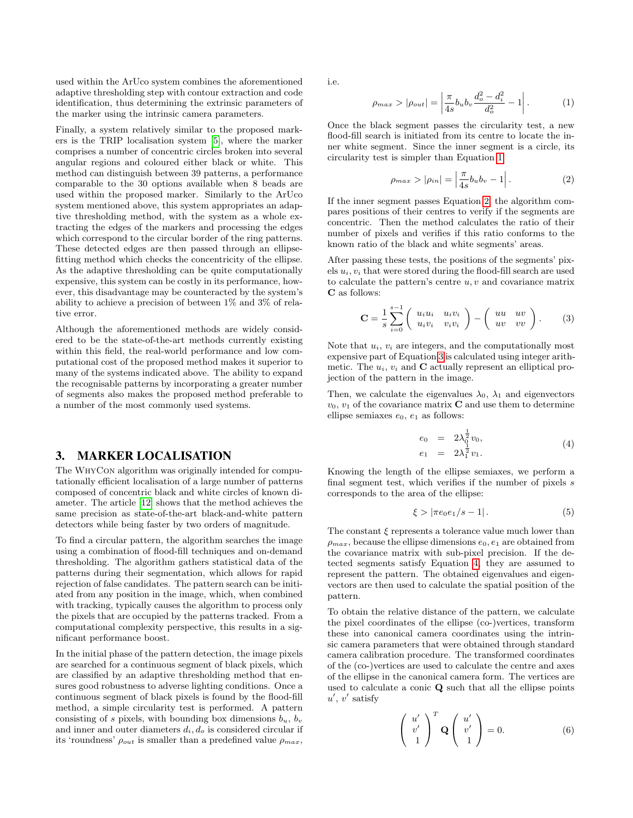used within the ArUco system combines the aforementioned adaptive thresholding step with contour extraction and code identification, thus determining the extrinsic parameters of the marker using the intrinsic camera parameters.

Finally, a system relatively similar to the proposed markers is the TRIP localisation system [\[5\]](#page-6-16), where the marker comprises a number of concentric circles broken into several angular regions and coloured either black or white. This method can distinguish between 39 patterns, a performance comparable to the 30 options available when 8 beads are used within the proposed marker. Similarly to the ArUco system mentioned above, this system appropriates an adaptive thresholding method, with the system as a whole extracting the edges of the markers and processing the edges which correspond to the circular border of the ring patterns. These detected edges are then passed through an ellipsefitting method which checks the concentricity of the ellipse. As the adaptive thresholding can be quite computationally expensive, this system can be costly in its performance, however, this disadvantage may be counteracted by the system's ability to achieve a precision of between 1% and 3% of relative error.

Although the aforementioned methods are widely considered to be the state-of-the-art methods currently existing within this field, the real-world performance and low computational cost of the proposed method makes it superior to many of the systems indicated above. The ability to expand the recognisable patterns by incorporating a greater number of segments also makes the proposed method preferable to a number of the most commonly used systems.

#### 3. MARKER LOCALISATION

The WhyCon algorithm was originally intended for computationally efficient localisation of a large number of patterns composed of concentric black and white circles of known diameter. The article [\[12\]](#page-6-17) shows that the method achieves the same precision as state-of-the-art black-and-white pattern detectors while being faster by two orders of magnitude.

To find a circular pattern, the algorithm searches the image using a combination of flood-fill techniques and on-demand thresholding. The algorithm gathers statistical data of the patterns during their segmentation, which allows for rapid rejection of false candidates. The pattern search can be initiated from any position in the image, which, when combined with tracking, typically causes the algorithm to process only the pixels that are occupied by the patterns tracked. From a computational complexity perspective, this results in a significant performance boost.

In the initial phase of the pattern detection, the image pixels are searched for a continuous segment of black pixels, which are classified by an adaptive thresholding method that ensures good robustness to adverse lighting conditions. Once a continuous segment of black pixels is found by the flood-fill method, a simple circularity test is performed. A pattern consisting of s pixels, with bounding box dimensions  $b_u$ ,  $b_v$ and inner and outer diameters  $d_i, d_o$  is considered circular if its 'roundness'  $\rho_{out}$  is smaller than a predefined value  $\rho_{max}$ ,

i.e.

<span id="page-2-0"></span>
$$
\rho_{max} > |\rho_{out}| = \left| \frac{\pi}{4s} b_u b_v \frac{d_o^2 - d_i^2}{d_o^2} - 1 \right|.
$$
 (1)

Once the black segment passes the circularity test, a new flood-fill search is initiated from its centre to locate the inner white segment. Since the inner segment is a circle, its circularity test is simpler than Equation [1:](#page-2-0)

<span id="page-2-1"></span>
$$
\rho_{max} > |\rho_{in}| = \left| \frac{\pi}{4s} b_u b_v - 1 \right|.
$$
 (2)

If the inner segment passes Equation [2,](#page-2-1) the algorithm compares positions of their centres to verify if the segments are concentric. Then the method calculates the ratio of their number of pixels and verifies if this ratio conforms to the known ratio of the black and white segments' areas.

After passing these tests, the positions of the segments' pixels  $u_i, v_i$  that were stored during the flood-fill search are used to calculate the pattern's centre  $u, v$  and covariance matrix C as follows:

<span id="page-2-2"></span>
$$
\mathbf{C} = \frac{1}{s} \sum_{i=0}^{s-1} \begin{pmatrix} u_i u_i & u_i v_i \\ u_i v_i & v_i v_i \end{pmatrix} - \begin{pmatrix} uu & uv \\ uv & vv \end{pmatrix}.
$$
 (3)

Note that  $u_i$ ,  $v_i$  are integers, and the computationally most expensive part of Equation [3](#page-2-2) is calculated using integer arithmetic. The  $u_i$ ,  $v_i$  and **C** actually represent an elliptical projection of the pattern in the image.

Then, we calculate the eigenvalues  $\lambda_0$ ,  $\lambda_1$  and eigenvectors  $v_0, v_1$  of the covariance matrix **C** and use them to determine ellipse semiaxes  $e_0$ ,  $e_1$  as follows:

<span id="page-2-3"></span>
$$
e_0 = 2\lambda_0^{\frac{1}{2}} v_0, \n e_1 = 2\lambda_1^{\frac{1}{2}} v_1.
$$
\n(4)

Knowing the length of the ellipse semiaxes, we perform a final segment test, which verifies if the number of pixels  $s$ corresponds to the area of the ellipse:

$$
\xi > |\pi e_0 e_1 / s - 1|.
$$
 (5)

The constant  $\xi$  represents a tolerance value much lower than  $\rho_{max}$ , because the ellipse dimensions  $e_0, e_1$  are obtained from the covariance matrix with sub-pixel precision. If the detected segments satisfy Equation [4,](#page-2-3) they are assumed to represent the pattern. The obtained eigenvalues and eigenvectors are then used to calculate the spatial position of the pattern.

To obtain the relative distance of the pattern, we calculate the pixel coordinates of the ellipse (co-)vertices, transform these into canonical camera coordinates using the intrinsic camera parameters that were obtained through standard camera calibration procedure. The transformed coordinates of the (co-)vertices are used to calculate the centre and axes of the ellipse in the canonical camera form. The vertices are used to calculate a conic Q such that all the ellipse points  $u', v'$  satisfy

$$
\begin{pmatrix} u' \\ v' \\ 1 \end{pmatrix}^T \mathbf{Q} \begin{pmatrix} u' \\ v' \\ 1 \end{pmatrix} = 0.
$$
 (6)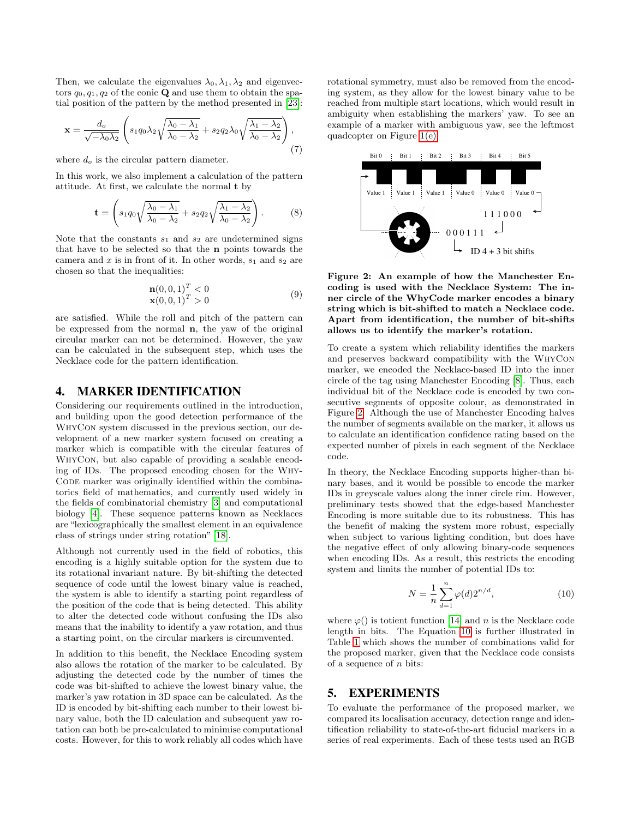Then, we calculate the eigenvalues  $\lambda_0, \lambda_1, \lambda_2$  and eigenvectors  $q_0, q_1, q_2$  of the conic **Q** and use them to obtain the spatial position of the pattern by the method presented in [\[23\]](#page-6-4):

$$
\mathbf{x} = \frac{d_o}{\sqrt{-\lambda_0 \lambda_2}} \left( s_1 q_0 \lambda_2 \sqrt{\frac{\lambda_0 - \lambda_1}{\lambda_0 - \lambda_2}} + s_2 q_2 \lambda_0 \sqrt{\frac{\lambda_1 - \lambda_2}{\lambda_0 - \lambda_2}} \right),\tag{7}
$$

where  $d_o$  is the circular pattern diameter.

In this work, we also implement a calculation of the pattern attitude. At first, we calculate the normal t by

$$
\mathbf{t} = \left(s_1 q_0 \sqrt{\frac{\lambda_0 - \lambda_1}{\lambda_0 - \lambda_2}} + s_2 q_2 \sqrt{\frac{\lambda_1 - \lambda_2}{\lambda_0 - \lambda_2}}\right).
$$
 (8)

Note that the constants  $s_1$  and  $s_2$  are undetermined signs that have to be selected so that the n points towards the camera and  $x$  is in front of it. In other words,  $s_1$  and  $s_2$  are chosen so that the inequalities:

$$
\mathbf{n}(0,0,1)^{T} < 0
$$
  

$$
\mathbf{x}(0,0,1)^{T} > 0
$$
 (9)

are satisfied. While the roll and pitch of the pattern can be expressed from the normal n, the yaw of the original circular marker can not be determined. However, the yaw can be calculated in the subsequent step, which uses the Necklace code for the pattern identification.

# 4. MARKER IDENTIFICATION

Considering our requirements outlined in the introduction, and building upon the good detection performance of the WhyCon system discussed in the previous section, our development of a new marker system focused on creating a marker which is compatible with the circular features of WhyCon, but also capable of providing a scalable encoding of IDs. The proposed encoding chosen for the Why-CODE marker was originally identified within the combinatorics field of mathematics, and currently used widely in the fields of combinatorial chemistry [\[3\]](#page-6-18) and computational biology [\[4\]](#page-6-19). These sequence patterns known as Necklaces are "lexicographically the smallest element in an equivalence class of strings under string rotation" [\[18\]](#page-6-8).

Although not currently used in the field of robotics, this encoding is a highly suitable option for the system due to its rotational invariant nature. By bit-shifting the detected sequence of code until the lowest binary value is reached, the system is able to identify a starting point regardless of the position of the code that is being detected. This ability to alter the detected code without confusing the IDs also means that the inability to identify a yaw rotation, and thus a starting point, on the circular markers is circumvented.

In addition to this benefit, the Necklace Encoding system also allows the rotation of the marker to be calculated. By adjusting the detected code by the number of times the code was bit-shifted to achieve the lowest binary value, the marker's yaw rotation in 3D space can be calculated. As the ID is encoded by bit-shifting each number to their lowest binary value, both the ID calculation and subsequent yaw rotation can both be pre-calculated to minimise computational costs. However, for this to work reliably all codes which have

rotational symmetry, must also be removed from the encoding system, as they allow for the lowest binary value to be reached from multiple start locations, which would result in ambiguity when establishing the markers' yaw. To see an example of a marker with ambiguous yaw, see the leftmost quadcopter on Figure [1\(e\).](#page-0-0)



<span id="page-3-0"></span>Figure 2: An example of how the Manchester Encoding is used with the Necklace System: The inner circle of the WhyCode marker encodes a binary string which is bit-shifted to match a Necklace code. Apart from identification, the number of bit-shifts allows us to identify the marker's rotation.

To create a system which reliability identifies the markers and preserves backward compatibility with the WhyCon marker, we encoded the Necklace-based ID into the inner circle of the tag using Manchester Encoding [\[8\]](#page-6-20). Thus, each individual bit of the Necklace code is encoded by two consecutive segments of opposite colour, as demonstrated in Figure [2.](#page-3-0) Although the use of Manchester Encoding halves the number of segments available on the marker, it allows us to calculate an identification confidence rating based on the expected number of pixels in each segment of the Necklace code.

In theory, the Necklace Encoding supports higher-than binary bases, and it would be possible to encode the marker IDs in greyscale values along the inner circle rim. However, preliminary tests showed that the edge-based Manchester Encoding is more suitable due to its robustness. This has the benefit of making the system more robust, especially when subject to various lighting condition, but does have the negative effect of only allowing binary-code sequences when encoding IDs. As a result, this restricts the encoding system and limits the number of potential IDs to:

<span id="page-3-1"></span>
$$
N = \frac{1}{n} \sum_{d=1}^{n} \varphi(d) 2^{n/d},
$$
\n(10)

where  $\varphi()$  is totient function [\[14\]](#page-6-21) and n is the Necklace code length in bits. The Equation [10](#page-3-1) is further illustrated in Table [1](#page-4-0) which shows the number of combinations valid for the proposed marker, given that the Necklace code consists of a sequence of  $n$  bits:

#### 5. EXPERIMENTS

To evaluate the performance of the proposed marker, we compared its localisation accuracy, detection range and identification reliability to state-of-the-art fiducial markers in a series of real experiments. Each of these tests used an RGB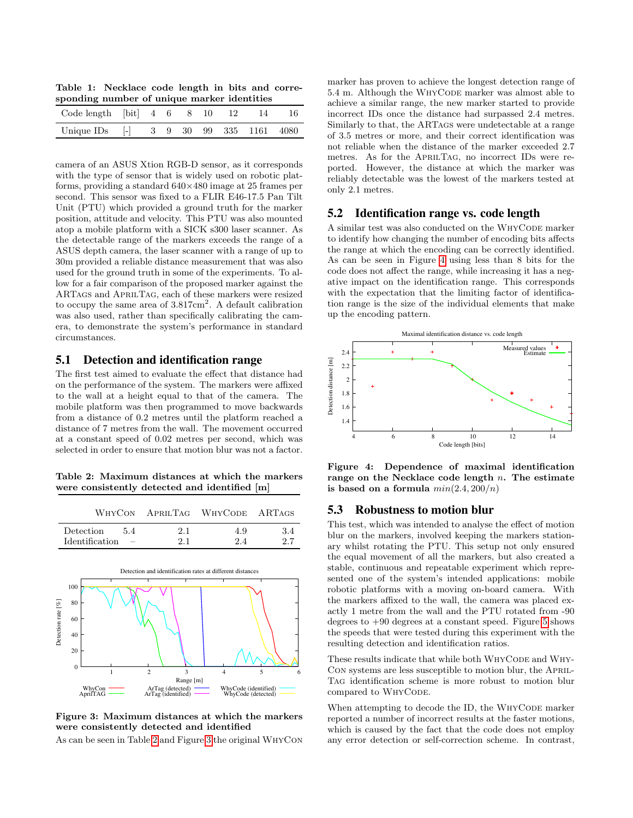<span id="page-4-0"></span>Table 1: Necklace code length in bits and corresponding number of unique marker identities

| Code length $ bit $ 4 6 8 10 12 14     |  |  |  | -16- |
|----------------------------------------|--|--|--|------|
| Unique IDs [-] 3 9 30 99 335 1161 4080 |  |  |  |      |
|                                        |  |  |  |      |

camera of an ASUS Xtion RGB-D sensor, as it corresponds with the type of sensor that is widely used on robotic platforms, providing a standard 640×480 image at 25 frames per second. This sensor was fixed to a FLIR E46-17.5 Pan Tilt Unit (PTU) which provided a ground truth for the marker position, attitude and velocity. This PTU was also mounted atop a mobile platform with a SICK s300 laser scanner. As the detectable range of the markers exceeds the range of a ASUS depth camera, the laser scanner with a range of up to 30m provided a reliable distance measurement that was also used for the ground truth in some of the experiments. To allow for a fair comparison of the proposed marker against the ARTags and AprilTag, each of these markers were resized to occupy the same area of  $3.817 \text{cm}^2$ . A default calibration was also used, rather than specifically calibrating the camera, to demonstrate the system's performance in standard circumstances.

#### 5.1 Detection and identification range

The first test aimed to evaluate the effect that distance had on the performance of the system. The markers were affixed to the wall at a height equal to that of the camera. The mobile platform was then programmed to move backwards from a distance of 0.2 metres until the platform reached a distance of 7 metres from the wall. The movement occurred at a constant speed of 0.02 metres per second, which was selected in order to ensure that motion blur was not a factor.

<span id="page-4-1"></span>Table 2: Maximum distances at which the markers were consistently detected and identified [m]

|                |                          |     | WHYCON APRILTAG WHYCODE ARTAGS |      |
|----------------|--------------------------|-----|--------------------------------|------|
| Detection      | -54                      | 2.1 | 4.9                            | -3.4 |
| Identification | $\overline{\phantom{a}}$ | 21  | 24                             | 27   |



<span id="page-4-2"></span>Figure 3: Maximum distances at which the markers were consistently detected and identified

As can be seen in Table [2](#page-4-1) and Figure [3](#page-4-2) the original WhyCon

marker has proven to achieve the longest detection range of 5.4 m. Although the WHYCODE marker was almost able to achieve a similar range, the new marker started to provide incorrect IDs once the distance had surpassed 2.4 metres. Similarly to that, the ARTags were undetectable at a range of 3.5 metres or more, and their correct identification was not reliable when the distance of the marker exceeded 2.7 metres. As for the AprilTag, no incorrect IDs were reported. However, the distance at which the marker was reliably detectable was the lowest of the markers tested at only 2.1 metres.

# 5.2 Identification range vs. code length

A similar test was also conducted on the WHYCODE marker to identify how changing the number of encoding bits affects the range at which the encoding can be correctly identified. As can be seen in Figure [4](#page-4-3) using less than 8 bits for the code does not affect the range, while increasing it has a negative impact on the identification range. This corresponds with the expectation that the limiting factor of identification range is the size of the individual elements that make up the encoding pattern.



<span id="page-4-3"></span>Figure 4: Dependence of maximal identification range on the Necklace code length  $n$ . The estimate is based on a formula  $min(2.4, 200/n)$ 

## 5.3 Robustness to motion blur

This test, which was intended to analyse the effect of motion blur on the markers, involved keeping the markers stationary whilst rotating the PTU. This setup not only ensured the equal movement of all the markers, but also created a stable, continuous and repeatable experiment which represented one of the system's intended applications: mobile robotic platforms with a moving on-board camera. With the markers affixed to the wall, the camera was placed exactly 1 metre from the wall and the PTU rotated from -90 degrees to  $+90$  degrees at a constant speed. Figure [5](#page-5-0) shows the speeds that were tested during this experiment with the resulting detection and identification ratios.

These results indicate that while both WHYCODE and WHY-Con systems are less susceptible to motion blur, the April-Tag identification scheme is more robust to motion blur compared to WHYCODE.

When attempting to decode the ID, the WHYCODE marker reported a number of incorrect results at the faster motions, which is caused by the fact that the code does not employ any error detection or self-correction scheme. In contrast,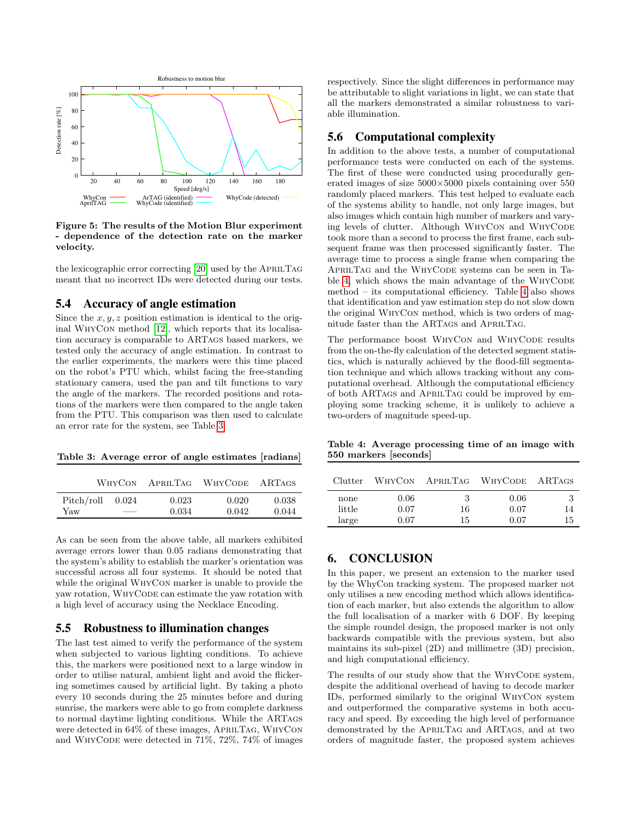

<span id="page-5-0"></span>Figure 5: The results of the Motion Blur experiment - dependence of the detection rate on the marker velocity.

the lexicographic error correcting [\[20\]](#page-6-13) used by the APRILTAG meant that no incorrect IDs were detected during our tests.

#### 5.4 Accuracy of angle estimation

Since the  $x, y, z$  position estimation is identical to the original WhyCon method [\[12\]](#page-6-17), which reports that its localisation accuracy is comparable to ARTags based markers, we tested only the accuracy of angle estimation. In contrast to the earlier experiments, the markers were this time placed on the robot's PTU which, whilst facing the free-standing stationary camera, used the pan and tilt functions to vary the angle of the markers. The recorded positions and rotations of the markers were then compared to the angle taken from the PTU. This comparison was then used to calculate an error rate for the system, see Table [3.](#page-5-1)

<span id="page-5-1"></span>Table 3: Average error of angle estimates [radians]

| WHYCON     |       | APRILTAG | <b>WHYCODE</b> | A RTAGS |  |
|------------|-------|----------|----------------|---------|--|
| Pitch/roll | 0.024 | 0.023    | 0.020          | 0.038   |  |
| Yaw        |       | 0.034    | 0.042          | 0.044   |  |

As can be seen from the above table, all markers exhibited average errors lower than 0.05 radians demonstrating that the system's ability to establish the marker's orientation was successful across all four systems. It should be noted that while the original WhyCon marker is unable to provide the yaw rotation, WHYCODE can estimate the yaw rotation with a high level of accuracy using the Necklace Encoding.

#### 5.5 Robustness to illumination changes

The last test aimed to verify the performance of the system when subjected to various lighting conditions. To achieve this, the markers were positioned next to a large window in order to utilise natural, ambient light and avoid the flickering sometimes caused by artificial light. By taking a photo every 10 seconds during the 25 minutes before and during sunrise, the markers were able to go from complete darkness to normal daytime lighting conditions. While the ARTags were detected in 64% of these images, APRILTAG, WHYCON and WHYCODE were detected in  $71\%$ ,  $72\%$ ,  $74\%$  of images

respectively. Since the slight differences in performance may be attributable to slight variations in light, we can state that all the markers demonstrated a similar robustness to variable illumination.

#### 5.6 Computational complexity

In addition to the above tests, a number of computational performance tests were conducted on each of the systems. The first of these were conducted using procedurally generated images of size 5000×5000 pixels containing over 550 randomly placed markers. This test helped to evaluate each of the systems ability to handle, not only large images, but also images which contain high number of markers and varying levels of clutter. Although WHYCON and WHYCODE took more than a second to process the first frame, each subsequent frame was then processed significantly faster. The average time to process a single frame when comparing the APRILTAG and the WHYCODE systems can be seen in Ta-ble [4,](#page-5-2) which shows the main advantage of the WHYCODE method – its computational efficiency. Table [4](#page-5-2) also shows that identification and yaw estimation step do not slow down the original WhyCon method, which is two orders of magnitude faster than the ARTags and AprilTag.

The performance boost WHYCON and WHYCODE results from the on-the-fly calculation of the detected segment statistics, which is naturally achieved by the flood-fill segmentation technique and which allows tracking without any computational overhead. Although the computational efficiency of both ARTags and AprilTag could be improved by employing some tracking scheme, it is unlikely to achieve a two-orders of magnitude speed-up.

<span id="page-5-2"></span>Table 4: Average processing time of an image with 550 markers [seconds]

| Clutter                 |                      | WHYCON APRILTAG | WHYCODE ARTAGS       |          |
|-------------------------|----------------------|-----------------|----------------------|----------|
| none<br>little<br>large | 0.06<br>0.07<br>0.07 | 3<br>16<br>15   | 0.06<br>0.07<br>0.07 | 14<br>15 |

## 6. CONCLUSION

In this paper, we present an extension to the marker used by the WhyCon tracking system. The proposed marker not only utilises a new encoding method which allows identification of each marker, but also extends the algorithm to allow the full localisation of a marker with 6 DOF. By keeping the simple roundel design, the proposed marker is not only backwards compatible with the previous system, but also maintains its sub-pixel (2D) and millimetre (3D) precision, and high computational efficiency.

The results of our study show that the WHYCODE system, despite the additional overhead of having to decode marker IDs, performed similarly to the original WhyCon system and outperformed the comparative systems in both accuracy and speed. By exceeding the high level of performance demonstrated by the AprilTag and ARTags, and at two orders of magnitude faster, the proposed system achieves